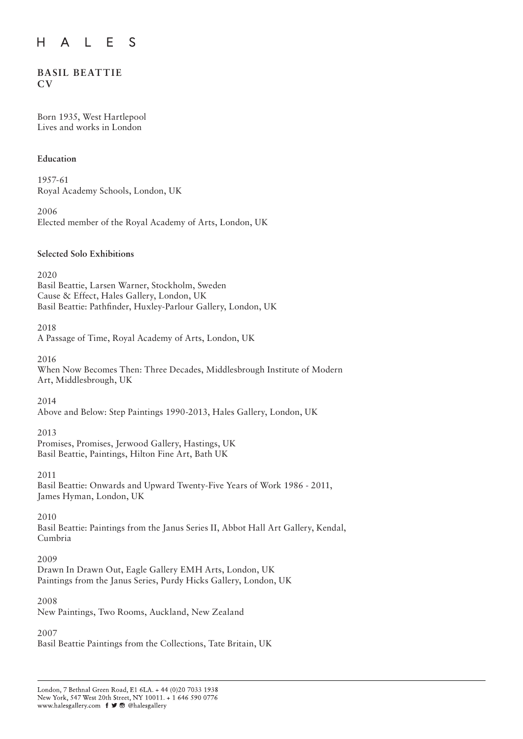#### E S H  $\overline{A}$  $\mathsf{L}$

# **BASIL BEATTIE CV**

Born 1935, West Hartlepool Lives and works in London

### **Education**

1957-61 Royal Academy Schools, London, UK

2006 Elected member of the Royal Academy of Arts, London, UK

### **Selected Solo Exhibitions**

2020 Basil Beattie, Larsen Warner, Stockholm, Sweden Cause & Effect, Hales Gallery, London, UK Basil Beattie: Pathfinder, Huxley-Parlour Gallery, London, UK

2018

A Passage of Time, Royal Academy of Arts, London, UK

2016

When Now Becomes Then: Three Decades, Middlesbrough Institute of Modern Art, Middlesbrough, UK

2014

Above and Below: Step Paintings 1990-2013, Hales Gallery, London, UK

2013

Promises, Promises, Jerwood Gallery, Hastings, UK Basil Beattie, Paintings, Hilton Fine Art, Bath UK

2011

Basil Beattie: Onwards and Upward Twenty-Five Years of Work 1986 - 2011, James Hyman, London, UK

2010

Basil Beattie: Paintings from the Janus Series II, Abbot Hall Art Gallery, Kendal, Cumbria

2009

Drawn In Drawn Out, Eagle Gallery EMH Arts, London, UK Paintings from the Janus Series, Purdy Hicks Gallery, London, UK

2008

New Paintings, Two Rooms, Auckland, New Zealand

2007

Basil Beattie Paintings from the Collections, Tate Britain, UK

London, 7 Bethnal Green Road, E1 6LA. + 44 (0)20 7033 1938 New York, 547 West 20th Street, NY 10011. + 1 646 590 0776 www.halesgallery.com f J ® @halesgallery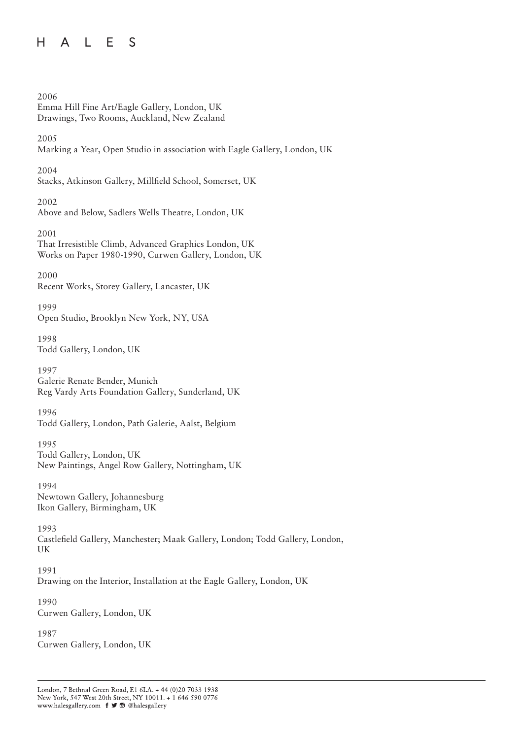### $H$ L E S  $\mathsf{A}$

2006 Emma Hill Fine Art/Eagle Gallery, London, UK Drawings, Two Rooms, Auckland, New Zealand 2005 Marking a Year, Open Studio in association with Eagle Gallery, London, UK 2004 Stacks, Atkinson Gallery, Millfield School, Somerset, UK 2002 Above and Below, Sadlers Wells Theatre, London, UK 2001 That Irresistible Climb, Advanced Graphics London, UK Works on Paper 1980-1990, Curwen Gallery, London, UK 2000 Recent Works, Storey Gallery, Lancaster, UK 1999 Open Studio, Brooklyn New York, NY, USA 1998 Todd Gallery, London, UK 1997 Galerie Renate Bender, Munich Reg Vardy Arts Foundation Gallery, Sunderland, UK 1996 Todd Gallery, London, Path Galerie, Aalst, Belgium 1995 Todd Gallery, London, UK New Paintings, Angel Row Gallery, Nottingham, UK 1994 Newtown Gallery, Johannesburg Ikon Gallery, Birmingham, UK 1993 Castlefield Gallery, Manchester; Maak Gallery, London; Todd Gallery, London, UK 1991 Drawing on the Interior, Installation at the Eagle Gallery, London, UK 1990 Curwen Gallery, London, UK 1987 Curwen Gallery, London, UK

London, 7 Bethnal Green Road, E1 6LA. + 44 (0)20 7033 1938 New York, 547 West 20th Street, NY 10011. + 1 646 590 0776 www.halesgallery.com f J <a> @halesgallery</a>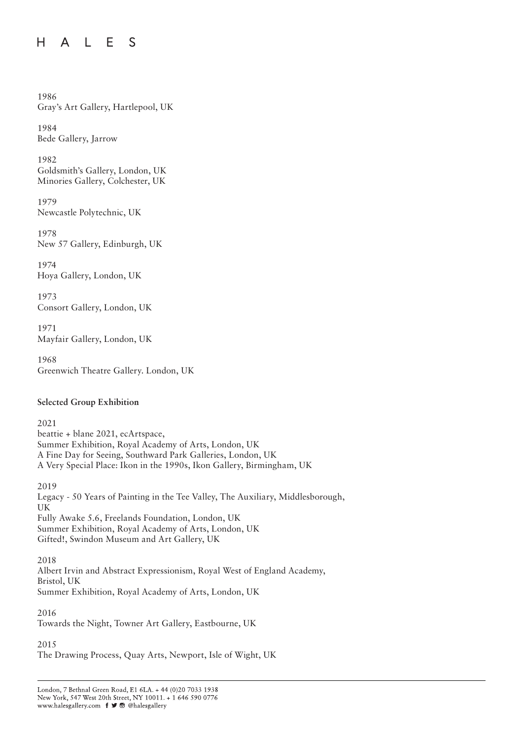#### $H$ E S S  $\mathsf{A}$  $\perp$

1986 Gray's Art Gallery, Hartlepool, UK

1984 Bede Gallery, Jarrow

1982 Goldsmith's Gallery, London, UK Minories Gallery, Colchester, UK

1979 Newcastle Polytechnic, UK

1978 New 57 Gallery, Edinburgh, UK

1974 Hoya Gallery, London, UK

1973 Consort Gallery, London, UK

1971 Mayfair Gallery, London, UK

1968 Greenwich Theatre Gallery. London, UK

# **Selected Group Exhibition**

2021 beattie + blane 2021, ecArtspace, Summer Exhibition, Royal Academy of Arts, London, UK A Fine Day for Seeing, Southward Park Galleries, London, UK A Very Special Place: Ikon in the 1990s, Ikon Gallery, Birmingham, UK

2019 Legacy - 50 Years of Painting in the Tee Valley, The Auxiliary, Middlesborough, UK Fully Awake 5.6, Freelands Foundation, London, UK Summer Exhibition, Royal Academy of Arts, London, UK Gifted!, Swindon Museum and Art Gallery, UK

2018 Albert Irvin and Abstract Expressionism, Royal West of England Academy, Bristol, UK Summer Exhibition, Royal Academy of Arts, London, UK

2016

Towards the Night, Towner Art Gallery, Eastbourne, UK

2015

The Drawing Process, Quay Arts, Newport, Isle of Wight, UK

London, 7 Bethnal Green Road, E1 6LA. + 44 (0)20 7033 1938 New York, 547 West 20th Street, NY 10011. + 1 646 590 0776 www.halesgallery.com f J ® @halesgallery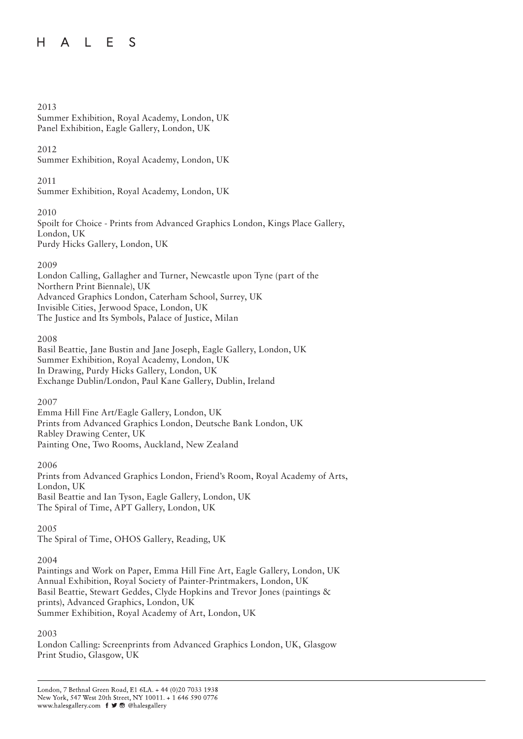#### H.  $\perp$ F. S  $\mathsf{A}$

### 2013

### Summer Exhibition, Royal Academy, London, UK Panel Exhibition, Eagle Gallery, London, UK

### 2012

Summer Exhibition, Royal Academy, London, UK

### 2011

Summer Exhibition, Royal Academy, London, UK

### 2010

Spoilt for Choice - Prints from Advanced Graphics London, Kings Place Gallery, London, UK Purdy Hicks Gallery, London, UK

### 2009

London Calling, Gallagher and Turner, Newcastle upon Tyne (part of the Northern Print Biennale), UK Advanced Graphics London, Caterham School, Surrey, UK Invisible Cities, Jerwood Space, London, UK The Justice and Its Symbols, Palace of Justice, Milan

### 2008

Basil Beattie, Jane Bustin and Jane Joseph, Eagle Gallery, London, UK Summer Exhibition, Royal Academy, London, UK In Drawing, Purdy Hicks Gallery, London, UK Exchange Dublin/London, Paul Kane Gallery, Dublin, Ireland

### 2007

Emma Hill Fine Art/Eagle Gallery, London, UK Prints from Advanced Graphics London, Deutsche Bank London, UK Rabley Drawing Center, UK Painting One, Two Rooms, Auckland, New Zealand

### 2006

Prints from Advanced Graphics London, Friend's Room, Royal Academy of Arts, London, UK Basil Beattie and Ian Tyson, Eagle Gallery, London, UK The Spiral of Time, APT Gallery, London, UK

### 2005

The Spiral of Time, OHOS Gallery, Reading, UK

# 2004

Paintings and Work on Paper, Emma Hill Fine Art, Eagle Gallery, London, UK Annual Exhibition, Royal Society of Painter-Printmakers, London, UK Basil Beattie, Stewart Geddes, Clyde Hopkins and Trevor Jones (paintings & prints), Advanced Graphics, London, UK Summer Exhibition, Royal Academy of Art, London, UK

### 2003

London Calling: Screenprints from Advanced Graphics London, UK, Glasgow Print Studio, Glasgow, UK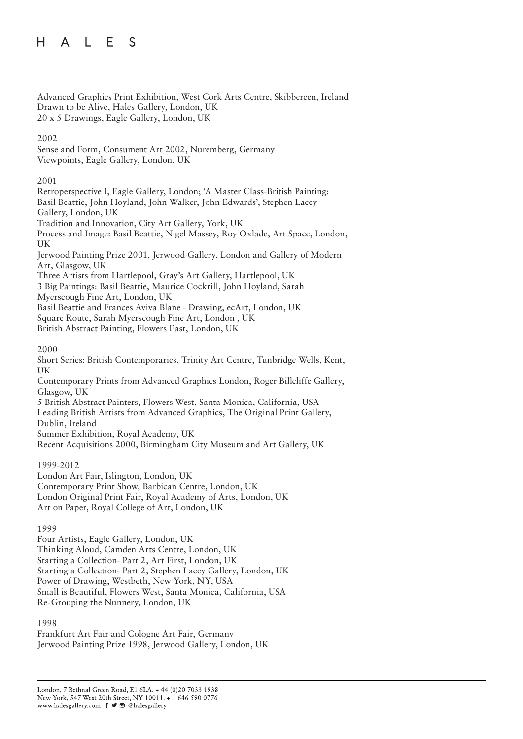Advanced Graphics Print Exhibition, West Cork Arts Centre, Skibbereen, Ireland Drawn to be Alive, Hales Gallery, London, UK 20 x 5 Drawings, Eagle Gallery, London, UK

### 2002

Sense and Form, Consument Art 2002, Nuremberg, Germany Viewpoints, Eagle Gallery, London, UK

### 2001

Retroperspective I, Eagle Gallery, London; 'A Master Class-British Painting: Basil Beattie, John Hoyland, John Walker, John Edwards', Stephen Lacey Gallery, London, UK Tradition and Innovation, City Art Gallery, York, UK Process and Image: Basil Beattie, Nigel Massey, Roy Oxlade, Art Space, London, UK Jerwood Painting Prize 2001, Jerwood Gallery, London and Gallery of Modern Art, Glasgow, UK Three Artists from Hartlepool, Gray's Art Gallery, Hartlepool, UK 3 Big Paintings: Basil Beattie, Maurice Cockrill, John Hoyland, Sarah

Myerscough Fine Art, London, UK

Basil Beattie and Frances Aviva Blane - Drawing, ecArt, London, UK Square Route, Sarah Myerscough Fine Art, London , UK

British Abstract Painting, Flowers East, London, UK

### 2000

Short Series: British Contemporaries, Trinity Art Centre, Tunbridge Wells, Kent, UK

Contemporary Prints from Advanced Graphics London, Roger Billcliffe Gallery, Glasgow, UK

5 British Abstract Painters, Flowers West, Santa Monica, California, USA Leading British Artists from Advanced Graphics, The Original Print Gallery, Dublin, Ireland

Summer Exhibition, Royal Academy, UK

Recent Acquisitions 2000, Birmingham City Museum and Art Gallery, UK

### 1999-2012

London Art Fair, Islington, London, UK Contemporary Print Show, Barbican Centre, London, UK London Original Print Fair, Royal Academy of Arts, London, UK Art on Paper, Royal College of Art, London, UK

### 1999

Four Artists, Eagle Gallery, London, UK Thinking Aloud, Camden Arts Centre, London, UK Starting a Collection- Part 2, Art First, London, UK Starting a Collection- Part 2, Stephen Lacey Gallery, London, UK Power of Drawing, Westbeth, New York, NY, USA Small is Beautiful, Flowers West, Santa Monica, California, USA Re-Grouping the Nunnery, London, UK

### 1998

Frankfurt Art Fair and Cologne Art Fair, Germany Jerwood Painting Prize 1998, Jerwood Gallery, London, UK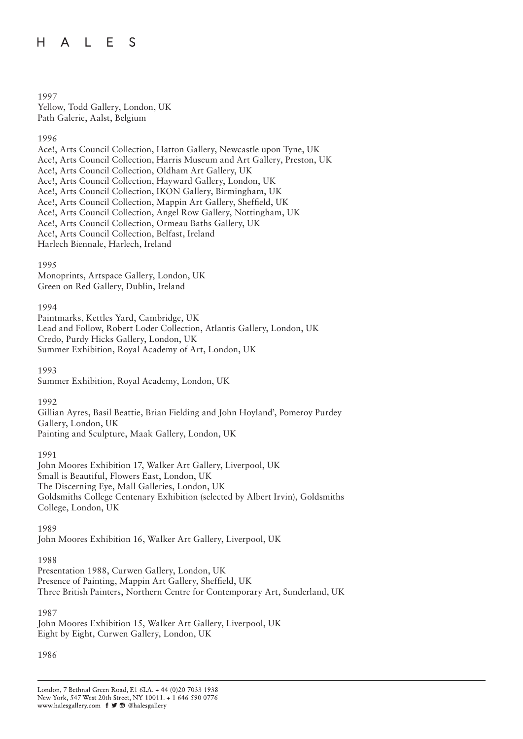#### H  $\mathbb{L}$ F. S  $\mathsf{A}$

1997 Yellow, Todd Gallery, London, UK Path Galerie, Aalst, Belgium

1996

Ace!, Arts Council Collection, Hatton Gallery, Newcastle upon Tyne, UK Ace!, Arts Council Collection, Harris Museum and Art Gallery, Preston, UK Ace!, Arts Council Collection, Oldham Art Gallery, UK Ace!, Arts Council Collection, Hayward Gallery, London, UK Ace!, Arts Council Collection, IKON Gallery, Birmingham, UK Ace!, Arts Council Collection, Mappin Art Gallery, Sheffield, UK Ace!, Arts Council Collection, Angel Row Gallery, Nottingham, UK Ace!, Arts Council Collection, Ormeau Baths Gallery, UK Ace!, Arts Council Collection, Belfast, Ireland Harlech Biennale, Harlech, Ireland

1995

Monoprints, Artspace Gallery, London, UK Green on Red Gallery, Dublin, Ireland

1994

Paintmarks, Kettles Yard, Cambridge, UK Lead and Follow, Robert Loder Collection, Atlantis Gallery, London, UK Credo, Purdy Hicks Gallery, London, UK Summer Exhibition, Royal Academy of Art, London, UK

1993 Summer Exhibition, Royal Academy, London, UK

1992

Gillian Ayres, Basil Beattie, Brian Fielding and John Hoyland', Pomeroy Purdey Gallery, London, UK Painting and Sculpture, Maak Gallery, London, UK

1991

John Moores Exhibition 17, Walker Art Gallery, Liverpool, UK Small is Beautiful, Flowers East, London, UK The Discerning Eye, Mall Galleries, London, UK Goldsmiths College Centenary Exhibition (selected by Albert Irvin), Goldsmiths College, London, UK

1989

John Moores Exhibition 16, Walker Art Gallery, Liverpool, UK

1988

Presentation 1988, Curwen Gallery, London, UK Presence of Painting, Mappin Art Gallery, Sheffield, UK Three British Painters, Northern Centre for Contemporary Art, Sunderland, UK

1987

John Moores Exhibition 15, Walker Art Gallery, Liverpool, UK Eight by Eight, Curwen Gallery, London, UK

1986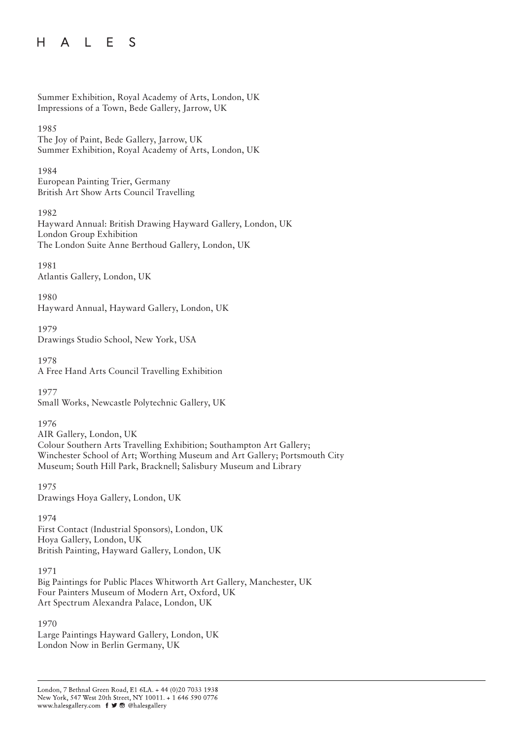### $H$ L E S  $\mathsf{A}$

```
Summer Exhibition, Royal Academy of Arts, London, UK
Impressions of a Town, Bede Gallery, Jarrow, UK
```
### 1985

The Joy of Paint, Bede Gallery, Jarrow, UK Summer Exhibition, Royal Academy of Arts, London, UK

1984

European Painting Trier, Germany British Art Show Arts Council Travelling

1982

Hayward Annual: British Drawing Hayward Gallery, London, UK London Group Exhibition The London Suite Anne Berthoud Gallery, London, UK

1981 Atlantis Gallery, London, UK

1980 Hayward Annual, Hayward Gallery, London, UK

1979 Drawings Studio School, New York, USA

1978 A Free Hand Arts Council Travelling Exhibition

1977 Small Works, Newcastle Polytechnic Gallery, UK

1976

AIR Gallery, London, UK Colour Southern Arts Travelling Exhibition; Southampton Art Gallery; Winchester School of Art; Worthing Museum and Art Gallery; Portsmouth City Museum; South Hill Park, Bracknell; Salisbury Museum and Library

1975 Drawings Hoya Gallery, London, UK

1974

First Contact (Industrial Sponsors), London, UK Hoya Gallery, London, UK British Painting, Hayward Gallery, London, UK

1971 Big Paintings for Public Places Whitworth Art Gallery, Manchester, UK Four Painters Museum of Modern Art, Oxford, UK Art Spectrum Alexandra Palace, London, UK

1970

Large Paintings Hayward Gallery, London, UK London Now in Berlin Germany, UK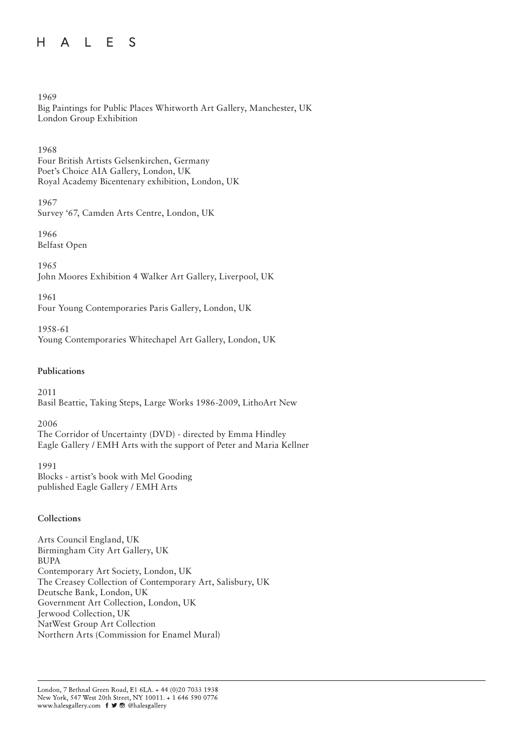### $H$ A L E S

1969

Big Paintings for Public Places Whitworth Art Gallery, Manchester, UK London Group Exhibition

1968 Four British Artists Gelsenkirchen, Germany Poet's Choice AIA Gallery, London, UK Royal Academy Bicentenary exhibition, London, UK

1967

Survey '67, Camden Arts Centre, London, UK

1966 Belfast Open

1965 John Moores Exhibition 4 Walker Art Gallery, Liverpool, UK

1961 Four Young Contemporaries Paris Gallery, London, UK

1958-61 Young Contemporaries Whitechapel Art Gallery, London, UK

### **Publications**

2011 Basil Beattie, Taking Steps, Large Works 1986-2009, LithoArt New

2006 The Corridor of Uncertainty (DVD) - directed by Emma Hindley Eagle Gallery / EMH Arts with the support of Peter and Maria Kellner

1991 Blocks - artist's book with Mel Gooding published Eagle Gallery / EMH Arts

### **Collections**

Arts Council England, UK Birmingham City Art Gallery, UK BUPA Contemporary Art Society, London, UK The Creasey Collection of Contemporary Art, Salisbury, UK Deutsche Bank, London, UK Government Art Collection, London, UK Jerwood Collection, UK NatWest Group Art Collection Northern Arts (Commission for Enamel Mural)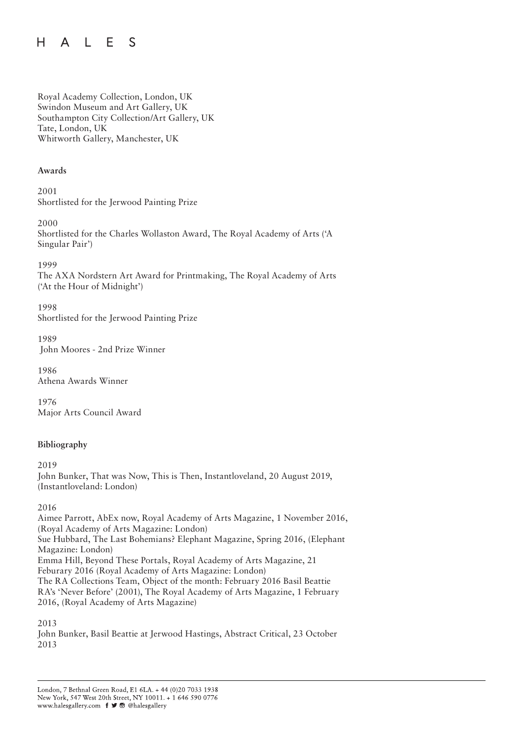#### E S H  $\mathbb{L}$  $\mathsf{A}$

Royal Academy Collection, London, UK Swindon Museum and Art Gallery, UK Southampton City Collection/Art Gallery, UK Tate, London, UK Whitworth Gallery, Manchester, UK

### **Awards**

2001 Shortlisted for the Jerwood Painting Prize

2000 Shortlisted for the Charles Wollaston Award, The Royal Academy of Arts ('A Singular Pair')

1999

The AXA Nordstern Art Award for Printmaking, The Royal Academy of Arts ('At the Hour of Midnight')

1998

Shortlisted for the Jerwood Painting Prize

1989 John Moores - 2nd Prize Winner

1986 Athena Awards Winner

1976 Major Arts Council Award

# **Bibliography**

2019 John Bunker, That was Now, This is Then, Instantloveland, 20 August 2019, (Instantloveland: London)

2016

Aimee Parrott, AbEx now, Royal Academy of Arts Magazine, 1 November 2016, (Royal Academy of Arts Magazine: London) Sue Hubbard, The Last Bohemians? Elephant Magazine, Spring 2016, (Elephant Magazine: London) Emma Hill, Beyond These Portals, Royal Academy of Arts Magazine, 21 Feburary 2016 (Royal Academy of Arts Magazine: London) The RA Collections Team, Object of the month: February 2016 Basil Beattie RA's 'Never Before' (2001), The Royal Academy of Arts Magazine, 1 February 2016, (Royal Academy of Arts Magazine)

2013

John Bunker, Basil Beattie at Jerwood Hastings, Abstract Critical, 23 October 2013

London, 7 Bethnal Green Road, E1 6LA. + 44 (0)20 7033 1938 New York, 547 West 20th Street, NY 10011. + 1 646 590 0776 www.halesgallery.com f J ® @halesgallery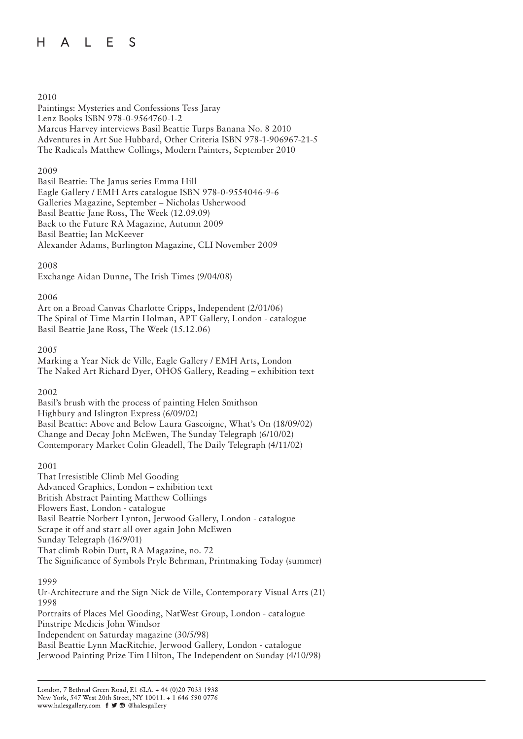# 2010

Paintings: Mysteries and Confessions Tess Jaray Lenz Books ISBN 978-0-9564760-1-2 Marcus Harvey interviews Basil Beattie Turps Banana No. 8 2010 Adventures in Art Sue Hubbard, Other Criteria ISBN 978-1-906967-21-5 The Radicals Matthew Collings, Modern Painters, September 2010

### 2009

Basil Beattie: The Janus series Emma Hill Eagle Gallery / EMH Arts catalogue ISBN 978-0-9554046-9-6 Galleries Magazine, September – Nicholas Usherwood Basil Beattie Jane Ross, The Week (12.09.09) Back to the Future RA Magazine, Autumn 2009 Basil Beattie; Ian McKeever Alexander Adams, Burlington Magazine, CLI November 2009

### 2008

Exchange Aidan Dunne, The Irish Times (9/04/08)

### 2006

Art on a Broad Canvas Charlotte Cripps, Independent (2/01/06) The Spiral of Time Martin Holman, APT Gallery, London - catalogue Basil Beattie Jane Ross, The Week (15.12.06)

### 2005

Marking a Year Nick de Ville, Eagle Gallery / EMH Arts, London The Naked Art Richard Dyer, OHOS Gallery, Reading – exhibition text

### 2002

Basil's brush with the process of painting Helen Smithson Highbury and Islington Express (6/09/02) Basil Beattie: Above and Below Laura Gascoigne, What's On (18/09/02) Change and Decay John McEwen, The Sunday Telegraph (6/10/02) Contemporary Market Colin Gleadell, The Daily Telegraph (4/11/02)

### 2001

That Irresistible Climb Mel Gooding Advanced Graphics, London – exhibition text British Abstract Painting Matthew Colliings Flowers East, London - catalogue Basil Beattie Norbert Lynton, Jerwood Gallery, London - catalogue Scrape it off and start all over again John McEwen Sunday Telegraph (16/9/01) That climb Robin Dutt, RA Magazine, no. 72 The Significance of Symbols Pryle Behrman, Printmaking Today (summer)

### 1999

Ur-Architecture and the Sign Nick de Ville, Contemporary Visual Arts (21) 1998 Portraits of Places Mel Gooding, NatWest Group, London - catalogue Pinstripe Medicis John Windsor Independent on Saturday magazine (30/5/98) Basil Beattie Lynn MacRitchie, Jerwood Gallery, London - catalogue Jerwood Painting Prize Tim Hilton, The Independent on Sunday (4/10/98)